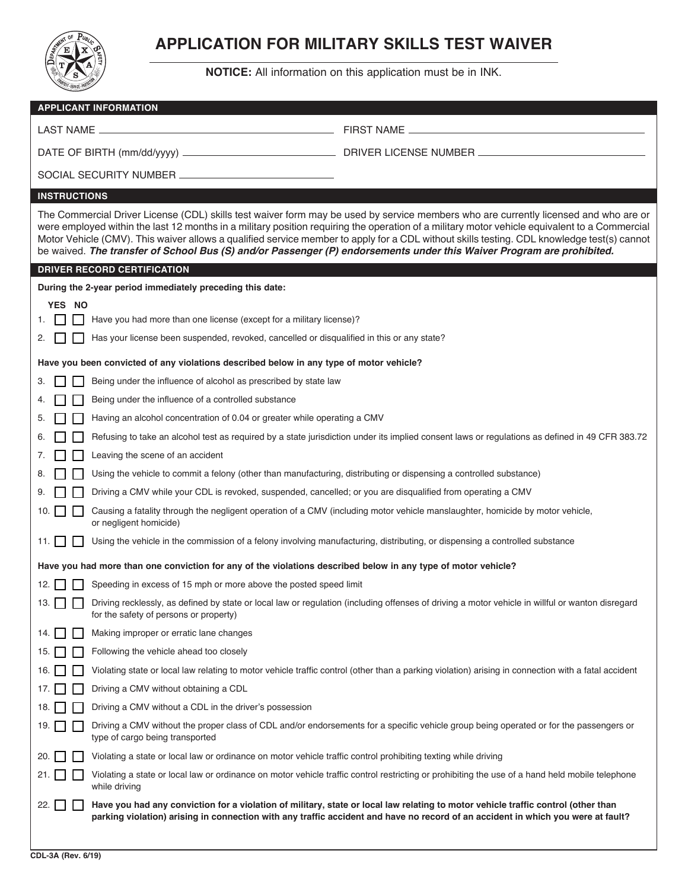

## **APPLICATION FOR MILITARY SKILLS TEST WAIVER**

**NOTICE:** All information on this application must be in INK.

| <b>APPLICANT INFORMATION</b>                                                                                                                                                                                                                                                                                                                                                                                                                                                                                                                                 |                                                                                                                                                                                                                                                                       |  |  |  |
|--------------------------------------------------------------------------------------------------------------------------------------------------------------------------------------------------------------------------------------------------------------------------------------------------------------------------------------------------------------------------------------------------------------------------------------------------------------------------------------------------------------------------------------------------------------|-----------------------------------------------------------------------------------------------------------------------------------------------------------------------------------------------------------------------------------------------------------------------|--|--|--|
| LAST NAME _                                                                                                                                                                                                                                                                                                                                                                                                                                                                                                                                                  | FIRST NAME _<br><u> 1989 - Johann John Stein, mars an deus Amerikaansk kommunister (</u>                                                                                                                                                                              |  |  |  |
|                                                                                                                                                                                                                                                                                                                                                                                                                                                                                                                                                              |                                                                                                                                                                                                                                                                       |  |  |  |
|                                                                                                                                                                                                                                                                                                                                                                                                                                                                                                                                                              |                                                                                                                                                                                                                                                                       |  |  |  |
| <b>INSTRUCTIONS</b>                                                                                                                                                                                                                                                                                                                                                                                                                                                                                                                                          |                                                                                                                                                                                                                                                                       |  |  |  |
| The Commercial Driver License (CDL) skills test waiver form may be used by service members who are currently licensed and who are or<br>were employed within the last 12 months in a military position requiring the operation of a military motor vehicle equivalent to a Commercial<br>Motor Vehicle (CMV). This waiver allows a qualified service member to apply for a CDL without skills testing. CDL knowledge test(s) cannot<br>be waived. The transfer of School Bus (S) and/or Passenger (P) endorsements under this Waiver Program are prohibited. |                                                                                                                                                                                                                                                                       |  |  |  |
| <b>DRIVER RECORD CERTIFICATION</b>                                                                                                                                                                                                                                                                                                                                                                                                                                                                                                                           |                                                                                                                                                                                                                                                                       |  |  |  |
| During the 2-year period immediately preceding this date:                                                                                                                                                                                                                                                                                                                                                                                                                                                                                                    |                                                                                                                                                                                                                                                                       |  |  |  |
| YES NO                                                                                                                                                                                                                                                                                                                                                                                                                                                                                                                                                       |                                                                                                                                                                                                                                                                       |  |  |  |
| Have you had more than one license (except for a military license)?                                                                                                                                                                                                                                                                                                                                                                                                                                                                                          |                                                                                                                                                                                                                                                                       |  |  |  |
| Has your license been suspended, revoked, cancelled or disqualified in this or any state?                                                                                                                                                                                                                                                                                                                                                                                                                                                                    |                                                                                                                                                                                                                                                                       |  |  |  |
| Have you been convicted of any violations described below in any type of motor vehicle?                                                                                                                                                                                                                                                                                                                                                                                                                                                                      |                                                                                                                                                                                                                                                                       |  |  |  |
| Being under the influence of alcohol as prescribed by state law                                                                                                                                                                                                                                                                                                                                                                                                                                                                                              |                                                                                                                                                                                                                                                                       |  |  |  |
| Being under the influence of a controlled substance                                                                                                                                                                                                                                                                                                                                                                                                                                                                                                          |                                                                                                                                                                                                                                                                       |  |  |  |
| Having an alcohol concentration of 0.04 or greater while operating a CMV                                                                                                                                                                                                                                                                                                                                                                                                                                                                                     |                                                                                                                                                                                                                                                                       |  |  |  |
|                                                                                                                                                                                                                                                                                                                                                                                                                                                                                                                                                              | Refusing to take an alcohol test as required by a state jurisdiction under its implied consent laws or regulations as defined in 49 CFR 383.72                                                                                                                        |  |  |  |
| Leaving the scene of an accident                                                                                                                                                                                                                                                                                                                                                                                                                                                                                                                             |                                                                                                                                                                                                                                                                       |  |  |  |
| Using the vehicle to commit a felony (other than manufacturing, distributing or dispensing a controlled substance)                                                                                                                                                                                                                                                                                                                                                                                                                                           |                                                                                                                                                                                                                                                                       |  |  |  |
| Driving a CMV while your CDL is revoked, suspended, cancelled; or you are disqualified from operating a CMV                                                                                                                                                                                                                                                                                                                                                                                                                                                  |                                                                                                                                                                                                                                                                       |  |  |  |
| Causing a fatality through the negligent operation of a CMV (including motor vehicle manslaughter, homicide by motor vehicle,<br>10.<br>or negligent homicide)                                                                                                                                                                                                                                                                                                                                                                                               |                                                                                                                                                                                                                                                                       |  |  |  |
| Using the vehicle in the commission of a felony involving manufacturing, distributing, or dispensing a controlled substance<br>11.                                                                                                                                                                                                                                                                                                                                                                                                                           |                                                                                                                                                                                                                                                                       |  |  |  |
| Have you had more than one conviction for any of the violations described below in any type of motor vehicle?                                                                                                                                                                                                                                                                                                                                                                                                                                                |                                                                                                                                                                                                                                                                       |  |  |  |
| Speeding in excess of 15 mph or more above the posted speed limit<br>12. l                                                                                                                                                                                                                                                                                                                                                                                                                                                                                   |                                                                                                                                                                                                                                                                       |  |  |  |
| 13. $\Box$<br>for the safety of persons or property)                                                                                                                                                                                                                                                                                                                                                                                                                                                                                                         | Driving recklessly, as defined by state or local law or regulation (including offenses of driving a motor vehicle in willful or wanton disregard                                                                                                                      |  |  |  |
| Making improper or erratic lane changes<br>14.                                                                                                                                                                                                                                                                                                                                                                                                                                                                                                               |                                                                                                                                                                                                                                                                       |  |  |  |
| Following the vehicle ahead too closely<br>15.                                                                                                                                                                                                                                                                                                                                                                                                                                                                                                               |                                                                                                                                                                                                                                                                       |  |  |  |
| 16.                                                                                                                                                                                                                                                                                                                                                                                                                                                                                                                                                          | Violating state or local law relating to motor vehicle traffic control (other than a parking violation) arising in connection with a fatal accident                                                                                                                   |  |  |  |
| Driving a CMV without obtaining a CDL<br>17.                                                                                                                                                                                                                                                                                                                                                                                                                                                                                                                 |                                                                                                                                                                                                                                                                       |  |  |  |
| Driving a CMV without a CDL in the driver's possession<br>18.                                                                                                                                                                                                                                                                                                                                                                                                                                                                                                |                                                                                                                                                                                                                                                                       |  |  |  |
| 19.<br>type of cargo being transported                                                                                                                                                                                                                                                                                                                                                                                                                                                                                                                       | Driving a CMV without the proper class of CDL and/or endorsements for a specific vehicle group being operated or for the passengers or                                                                                                                                |  |  |  |
| Violating a state or local law or ordinance on motor vehicle traffic control prohibiting texting while driving<br>20.                                                                                                                                                                                                                                                                                                                                                                                                                                        |                                                                                                                                                                                                                                                                       |  |  |  |
| 21. l<br>while driving                                                                                                                                                                                                                                                                                                                                                                                                                                                                                                                                       | Violating a state or local law or ordinance on motor vehicle traffic control restricting or prohibiting the use of a hand held mobile telephone                                                                                                                       |  |  |  |
| 22.                                                                                                                                                                                                                                                                                                                                                                                                                                                                                                                                                          | Have you had any conviction for a violation of military, state or local law relating to motor vehicle traffic control (other than<br>parking violation) arising in connection with any traffic accident and have no record of an accident in which you were at fault? |  |  |  |